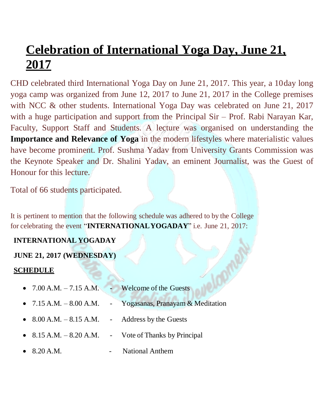## **Celebration of International Yoga Day, June 21, 2017**

CHD celebrated third International Yoga Day on June 21, 2017. This year, a 10day long yoga camp was organized from June 12, 2017 to June 21, 2017 in the College premises with NCC & other students. International Yoga Day was celebrated on June 21, 2017 with a huge participation and support from the Principal Sir – Prof. Rabi Narayan Kar, Faculty, Support Staff and Students. A lecture was organised on understanding the **Importance and Relevance of Yoga** in the modern lifestyles where materialistic values have become prominent. Prof. Sushma Yadav from University Grants Commission was the Keynote Speaker and Dr. Shalini Yadav, an eminent Journalist, was the Guest of Honour for this lecture.

Total of 66 students participated.

It is pertinent to mention that the following schedule was adhered to by the College for celebrating the event "**INTERNATIONALYOGADAY**" i.e. June 21, 2017:

## **INTERNATIONAL YOGADAY**

## **JUNE 21, 2017 (WEDNESDAY)**

## **SCHEDULE**

| • $7.00$ A.M. $-7.15$ A.M. $-$ Welcome of the Guests |                                                             |
|------------------------------------------------------|-------------------------------------------------------------|
|                                                      | • 7.15 A.M. $-8.00$ A.M. - Yogasanas, Pranayam & Meditation |
| • $8.00$ A.M. $-8.15$ A.M. - Address by the Guests   |                                                             |
|                                                      | • $8.15$ A.M. $-8.20$ A.M. - Vote of Thanks by Principal    |
| • $8.20 A.M.$                                        | <b>National Anthem</b>                                      |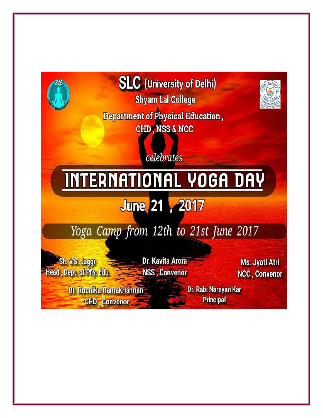